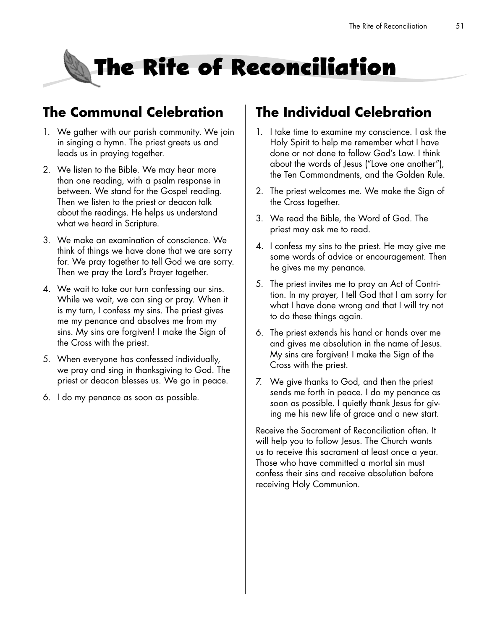# **The Rite of Reconciliation**

## **The Communal Celebration**

- 1. We gather with our parish community. We join in singing a hymn. The priest greets us and leads us in praying together.
- 2. We listen to the Bible. We may hear more than one reading, with a psalm response in between. We stand for the Gospel reading. Then we listen to the priest or deacon talk about the readings. He helps us understand what we heard in Scripture.
- 3. We make an examination of conscience. We think of things we have done that we are sorry for. We pray together to tell God we are sorry. Then we pray the Lord's Prayer together.
- 4. We wait to take our turn confessing our sins. While we wait, we can sing or pray. When it is my turn, I confess my sins. The priest gives me my penance and absolves me from my sins. My sins are forgiven! I make the Sign of the Cross with the priest.
- 5. When everyone has confessed individually, we pray and sing in thanksgiving to God. The priest or deacon blesses us. We go in peace.
- 6. I do my penance as soon as possible.

## **The Individual Celebration**

- 1. I take time to examine my conscience. I ask the Holy Spirit to help me remember what I have done or not done to follow God's Law. I think about the words of Jesus ("Love one another"), the Ten Commandments, and the Golden Rule.
- 2. The priest welcomes me. We make the Sign of the Cross together.
- 3. We read the Bible, the Word of God. The priest may ask me to read.
- 4. I confess my sins to the priest. He may give me some words of advice or encouragement. Then he gives me my penance.
- 5. The priest invites me to pray an Act of Contrition. In my prayer, I tell God that I am sorry for what I have done wrong and that I will try not to do these things again.
- 6. The priest extends his hand or hands over me and gives me absolution in the name of Jesus. My sins are forgiven! I make the Sign of the Cross with the priest.
- 7. We give thanks to God, and then the priest sends me forth in peace. I do my penance as soon as possible. I quietly thank Jesus for giving me his new life of grace and a new start.

Receive the Sacrament of Reconciliation often. It will help you to follow Jesus. The Church wants us to receive this sacrament at least once a year. Those who have committed a mortal sin must confess their sins and receive absolution before receiving Holy Communion.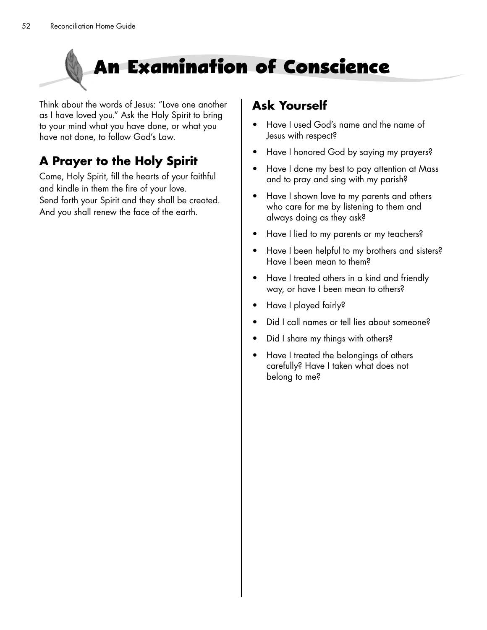

Think about the words of Jesus: "Love one another as I have loved you." Ask the Holy Spirit to bring to your mind what you have done, or what you have not done, to follow God's Law.

## **A Prayer to the Holy Spirit**

Come, Holy Spirit, fill the hearts of your faithful and kindle in them the fire of your love. Send forth your Spirit and they shall be created. And you shall renew the face of the earth.

### **Ask Yourself**

- Have I used God's name and the name of Jesus with respect?
- Have I honored God by saying my prayers?
- Have I done my best to pay attention at Mass and to pray and sing with my parish?
- Have I shown love to my parents and others who care for me by listening to them and always doing as they ask?
- Have I lied to my parents or my teachers?
- Have I been helpful to my brothers and sisters? Have I been mean to them?
- Have I treated others in a kind and friendly way, or have I been mean to others?
- Have I played fairly?
- Did I call names or tell lies about someone?
- Did I share my things with others?
- Have I treated the belongings of others carefully? Have I taken what does not belong to me?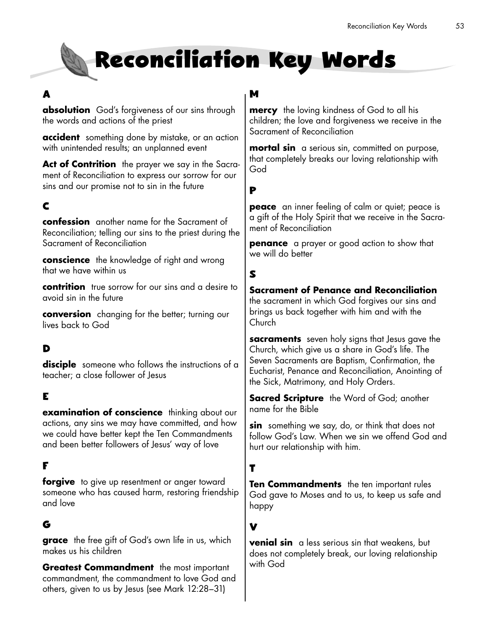## **Reconciliation Key Words**

#### **A**

**absolution** God's forgiveness of our sins through the words and actions of the priest

**accident** something done by mistake, or an action with unintended results; an unplanned event

**Act of Contrition** the prayer we say in the Sacrament of Reconciliation to express our sorrow for our sins and our promise not to sin in the future

#### **C**

**confession** another name for the Sacrament of Reconciliation; telling our sins to the priest during the Sacrament of Reconciliation

**conscience** the knowledge of right and wrong that we have within us

**contrition** true sorrow for our sins and a desire to avoid sin in the future

**conversion** changing for the better; turning our lives back to God

#### **D**

**disciple** someone who follows the instructions of a teacher; a close follower of Jesus

#### **E**

**examination of conscience** thinking about our actions, any sins we may have committed, and how we could have better kept the Ten Commandments and been better followers of Jesus' way of love

#### **F**

**forgive** to give up resentment or anger toward someone who has caused harm, restoring friendship and love

#### **G**

**grace** the free gift of God's own life in us, which makes us his children

**Greatest Commandment** the most important commandment, the commandment to love God and others, given to us by Jesus (see Mark 12:28–31)

#### **M**

**mercy** the loving kindness of God to all his children; the love and forgiveness we receive in the Sacrament of Reconciliation

**mortal sin** a serious sin, committed on purpose, that completely breaks our loving relationship with God

**P**

**peace** an inner feeling of calm or quiet; peace is a gift of the Holy Spirit that we receive in the Sacrament of Reconciliation

**penance** a prayer or good action to show that we will do better

#### **S**

#### **Sacrament of Penance and Reconciliation**

the sacrament in which God forgives our sins and brings us back together with him and with the **Church** 

**sacraments** seven holy signs that Jesus gave the Church, which give us a share in God's life. The Seven Sacraments are Baptism, Confirmation, the Eucharist, Penance and Reconciliation, Anointing of the Sick, Matrimony, and Holy Orders.

**Sacred Scripture** the Word of God; another name for the Bible

**sin** something we say, do, or think that does not follow God's Law. When we sin we offend God and hurt our relationship with him.

#### **T**

**Ten Commandments** the ten important rules God gave to Moses and to us, to keep us safe and happy

#### **V**

**venial sin** a less serious sin that weakens, but does not completely break, our loving relationship with God